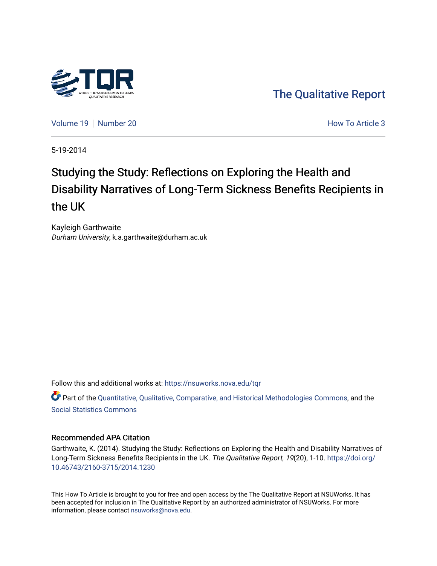

[The Qualitative Report](https://nsuworks.nova.edu/tqr) 

[Volume 19](https://nsuworks.nova.edu/tqr/vol19) [Number 20](https://nsuworks.nova.edu/tqr/vol19/iss20) **How To Article 3** How To Article 3

5-19-2014

## Studying the Study: Reflections on Exploring the Health and Disability Narratives of Long-Term Sickness Benefits Recipients in the UK

Kayleigh Garthwaite Durham University, k.a.garthwaite@durham.ac.uk

Follow this and additional works at: [https://nsuworks.nova.edu/tqr](https://nsuworks.nova.edu/tqr?utm_source=nsuworks.nova.edu%2Ftqr%2Fvol19%2Fiss20%2F3&utm_medium=PDF&utm_campaign=PDFCoverPages) 

Part of the [Quantitative, Qualitative, Comparative, and Historical Methodologies Commons,](http://network.bepress.com/hgg/discipline/423?utm_source=nsuworks.nova.edu%2Ftqr%2Fvol19%2Fiss20%2F3&utm_medium=PDF&utm_campaign=PDFCoverPages) and the [Social Statistics Commons](http://network.bepress.com/hgg/discipline/1275?utm_source=nsuworks.nova.edu%2Ftqr%2Fvol19%2Fiss20%2F3&utm_medium=PDF&utm_campaign=PDFCoverPages) 

#### Recommended APA Citation

Garthwaite, K. (2014). Studying the Study: Reflections on Exploring the Health and Disability Narratives of Long-Term Sickness Benefits Recipients in the UK. The Qualitative Report, 19(20), 1-10. [https://doi.org/](https://doi.org/10.46743/2160-3715/2014.1230) [10.46743/2160-3715/2014.1230](https://doi.org/10.46743/2160-3715/2014.1230)

This How To Article is brought to you for free and open access by the The Qualitative Report at NSUWorks. It has been accepted for inclusion in The Qualitative Report by an authorized administrator of NSUWorks. For more information, please contact [nsuworks@nova.edu.](mailto:nsuworks@nova.edu)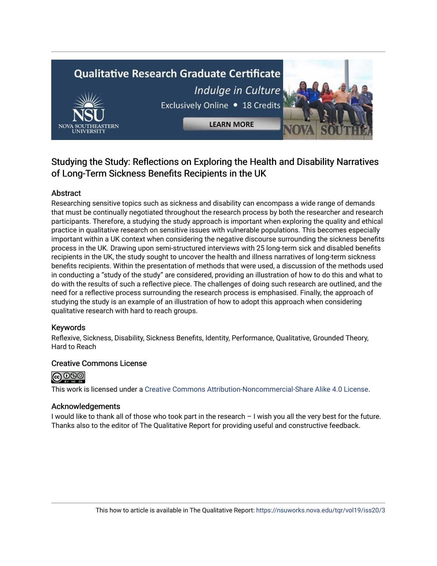# **Qualitative Research Graduate Certificate** Indulge in Culture Exclusively Online . 18 Credits

**LEARN MORE** 

### Studying the Study: Reflections on Exploring the Health and Disability Narratives of Long-Term Sickness Benefits Recipients in the UK

#### Abstract

Researching sensitive topics such as sickness and disability can encompass a wide range of demands that must be continually negotiated throughout the research process by both the researcher and research participants. Therefore, a studying the study approach is important when exploring the quality and ethical practice in qualitative research on sensitive issues with vulnerable populations. This becomes especially important within a UK context when considering the negative discourse surrounding the sickness benefits process in the UK. Drawing upon semi-structured interviews with 25 long-term sick and disabled benefits recipients in the UK, the study sought to uncover the health and illness narratives of long-term sickness benefits recipients. Within the presentation of methods that were used, a discussion of the methods used in conducting a "study of the study" are considered, providing an illustration of how to do this and what to do with the results of such a reflective piece. The challenges of doing such research are outlined, and the need for a reflective process surrounding the research process is emphasised. Finally, the approach of studying the study is an example of an illustration of how to adopt this approach when considering qualitative research with hard to reach groups.

#### Keywords

Reflexive, Sickness, Disability, Sickness Benefits, Identity, Performance, Qualitative, Grounded Theory, Hard to Reach

#### Creative Commons License



This work is licensed under a [Creative Commons Attribution-Noncommercial-Share Alike 4.0 License](https://creativecommons.org/licenses/by-nc-sa/4.0/).

#### Acknowledgements

I would like to thank all of those who took part in the research – I wish you all the very best for the future. Thanks also to the editor of The Qualitative Report for providing useful and constructive feedback.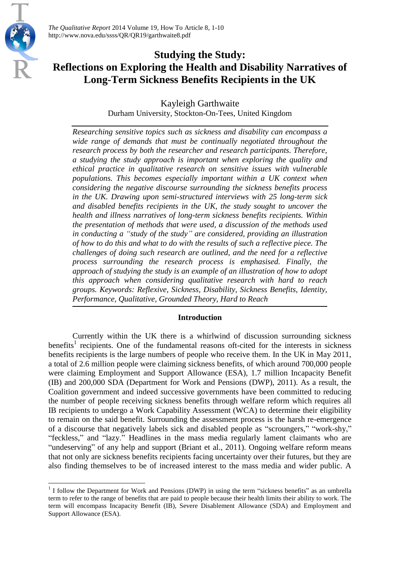

**.** 

*The Qualitative Report* 2014 Volume 19, How To Article 8, 1-10 http://www.nova.edu/ssss/QR/QR19/garthwaite8.pdf

## **Studying the Study: Reflections on Exploring the Health and Disability Narratives of Long-Term Sickness Benefits Recipients in the UK**

Kayleigh Garthwaite

Durham University, Stockton-On-Tees, United Kingdom

*Researching sensitive topics such as sickness and disability can encompass a wide range of demands that must be continually negotiated throughout the research process by both the researcher and research participants. Therefore, a studying the study approach is important when exploring the quality and ethical practice in qualitative research on sensitive issues with vulnerable populations. This becomes especially important within a UK context when considering the negative discourse surrounding the sickness benefits process in the UK. Drawing upon semi-structured interviews with 25 long-term sick and disabled benefits recipients in the UK, the study sought to uncover the health and illness narratives of long-term sickness benefits recipients. Within the presentation of methods that were used, a discussion of the methods used in conducting a "study of the study" are considered, providing an illustration of how to do this and what to do with the results of such a reflective piece. The challenges of doing such research are outlined, and the need for a reflective process surrounding the research process is emphasised. Finally, the approach of studying the study is an example of an illustration of how to adopt this approach when considering qualitative research with hard to reach groups. Keywords: Reflexive, Sickness, Disability, Sickness Benefits, Identity, Performance, Qualitative, Grounded Theory, Hard to Reach*

#### **Introduction**

Currently within the UK there is a whirlwind of discussion surrounding sickness benefits<sup>1</sup> recipients. One of the fundamental reasons oft-cited for the interests in sickness benefits recipients is the large numbers of people who receive them. In the UK in May 2011, a total of 2.6 million people were claiming sickness benefits, of which around 700,000 people were claiming Employment and Support Allowance (ESA), 1.7 million Incapacity Benefit (IB) and 200,000 SDA (Department for Work and Pensions (DWP), 2011). As a result, the Coalition government and indeed successive governments have been committed to reducing the number of people receiving sickness benefits through welfare reform which requires all IB recipients to undergo a Work Capability Assessment (WCA) to determine their eligibility to remain on the said benefit. Surrounding the assessment process is the harsh re-emergence of a discourse that negatively labels sick and disabled people as "scroungers," "work-shy," "feckless," and "lazy." Headlines in the mass media regularly lament claimants who are "undeserving" of any help and support (Briant et al., 2011). Ongoing welfare reform means that not only are sickness benefits recipients facing uncertainty over their futures, but they are also finding themselves to be of increased interest to the mass media and wider public. A

 $<sup>1</sup>$  I follow the Department for Work and Pensions (DWP) in using the term "sickness benefits" as an umbrella</sup> term to refer to the range of benefits that are paid to people because their health limits their ability to work. The term will encompass Incapacity Benefit (IB), Severe Disablement Allowance (SDA) and Employment and Support Allowance (ESA).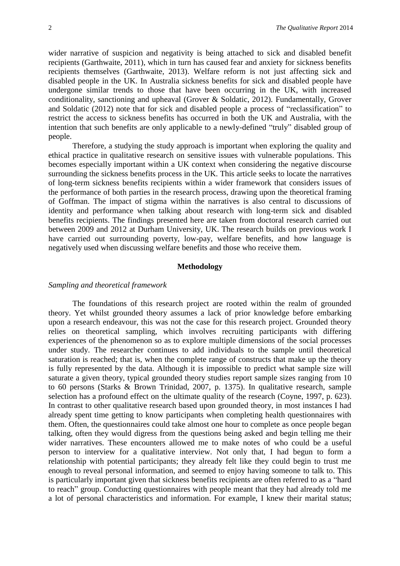wider narrative of suspicion and negativity is being attached to sick and disabled benefit recipients (Garthwaite, 2011), which in turn has caused fear and anxiety for sickness benefits recipients themselves (Garthwaite, 2013). Welfare reform is not just affecting sick and disabled people in the UK. In Australia sickness benefits for sick and disabled people have undergone similar trends to those that have been occurring in the UK, with increased conditionality, sanctioning and upheaval (Grover & Soldatic, 2012). Fundamentally, Grover and Soldatic (2012) note that for sick and disabled people a process of "reclassification" to restrict the access to sickness benefits has occurred in both the UK and Australia, with the intention that such benefits are only applicable to a newly-defined "truly" disabled group of people.

Therefore, a studying the study approach is important when exploring the quality and ethical practice in qualitative research on sensitive issues with vulnerable populations. This becomes especially important within a UK context when considering the negative discourse surrounding the sickness benefits process in the UK. This article seeks to locate the narratives of long-term sickness benefits recipients within a wider framework that considers issues of the performance of both parties in the research process, drawing upon the theoretical framing of Goffman. The impact of stigma within the narratives is also central to discussions of identity and performance when talking about research with long-term sick and disabled benefits recipients. The findings presented here are taken from doctoral research carried out between 2009 and 2012 at Durham University, UK. The research builds on previous work I have carried out surrounding poverty, low-pay, welfare benefits, and how language is negatively used when discussing welfare benefits and those who receive them.

#### **Methodology**

#### *Sampling and theoretical framework*

The foundations of this research project are rooted within the realm of grounded theory. Yet whilst grounded theory assumes a lack of prior knowledge before embarking upon a research endeavour, this was not the case for this research project. Grounded theory relies on theoretical sampling, which involves recruiting participants with differing experiences of the phenomenon so as to explore multiple dimensions of the social processes under study. The researcher continues to add individuals to the sample until theoretical saturation is reached; that is, when the complete range of constructs that make up the theory is fully represented by the data. Although it is impossible to predict what sample size will saturate a given theory, typical grounded theory studies report sample sizes ranging from 10 to 60 persons (Starks & Brown Trinidad, 2007, p. 1375). In qualitative research, sample selection has a profound effect on the ultimate quality of the research (Coyne, 1997, p. 623). In contrast to other qualitative research based upon grounded theory, in most instances I had already spent time getting to know participants when completing health questionnaires with them. Often, the questionnaires could take almost one hour to complete as once people began talking, often they would digress from the questions being asked and begin telling me their wider narratives. These encounters allowed me to make notes of who could be a useful person to interview for a qualitative interview. Not only that, I had begun to form a relationship with potential participants; they already felt like they could begin to trust me enough to reveal personal information, and seemed to enjoy having someone to talk to. This is particularly important given that sickness benefits recipients are often referred to as a "hard to reach" group. Conducting questionnaires with people meant that they had already told me a lot of personal characteristics and information. For example, I knew their marital status;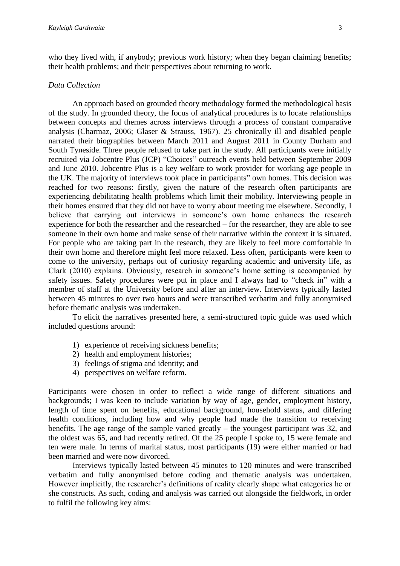who they lived with, if anybody; previous work history; when they began claiming benefits; their health problems; and their perspectives about returning to work.

#### *Data Collection*

An approach based on grounded theory methodology formed the methodological basis of the study. In grounded theory, the focus of analytical procedures is to locate relationships between concepts and themes across interviews through a process of constant comparative analysis (Charmaz, 2006; Glaser & Strauss, 1967). 25 chronically ill and disabled people narrated their biographies between March 2011 and August 2011 in County Durham and South Tyneside. Three people refused to take part in the study. All participants were initially recruited via Jobcentre Plus (JCP) "Choices" outreach events held between September 2009 and June 2010. Jobcentre Plus is a key welfare to work provider for working age people in the UK. The majority of interviews took place in participants" own homes. This decision was reached for two reasons: firstly, given the nature of the research often participants are experiencing debilitating health problems which limit their mobility. Interviewing people in their homes ensured that they did not have to worry about meeting me elsewhere. Secondly, I believe that carrying out interviews in someone's own home enhances the research experience for both the researcher and the researched – for the researcher, they are able to see someone in their own home and make sense of their narrative within the context it is situated. For people who are taking part in the research, they are likely to feel more comfortable in their own home and therefore might feel more relaxed. Less often, participants were keen to come to the university, perhaps out of curiosity regarding academic and university life, as Clark (2010) explains. Obviously, research in someone's home setting is accompanied by safety issues. Safety procedures were put in place and I always had to "check in" with a member of staff at the University before and after an interview. Interviews typically lasted between 45 minutes to over two hours and were transcribed verbatim and fully anonymised before thematic analysis was undertaken.

To elicit the narratives presented here, a semi-structured topic guide was used which included questions around:

- 1) experience of receiving sickness benefits;
- 2) health and employment histories;
- 3) feelings of stigma and identity; and
- 4) perspectives on welfare reform.

Participants were chosen in order to reflect a wide range of different situations and backgrounds; I was keen to include variation by way of age, gender, employment history, length of time spent on benefits, educational background, household status, and differing health conditions, including how and why people had made the transition to receiving benefits. The age range of the sample varied greatly – the youngest participant was 32, and the oldest was 65, and had recently retired. Of the 25 people I spoke to, 15 were female and ten were male. In terms of marital status, most participants (19) were either married or had been married and were now divorced.

Interviews typically lasted between 45 minutes to 120 minutes and were transcribed verbatim and fully anonymised before coding and thematic analysis was undertaken. However implicitly, the researcher's definitions of reality clearly shape what categories he or she constructs. As such, coding and analysis was carried out alongside the fieldwork, in order to fulfil the following key aims: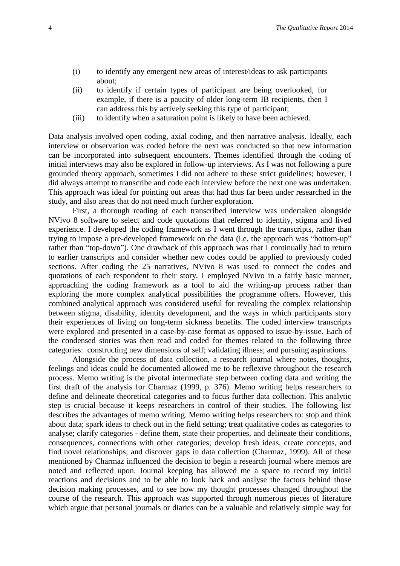- (i) to identify any emergent new areas of interest/ideas to ask participants about;
- (ii) to identify if certain types of participant are being overlooked, for example, if there is a paucity of older long-term IB recipients, then I can address this by actively seeking this type of participant;
- (iii) to identify when a saturation point is likely to have been achieved.

Data analysis involved open coding, axial coding, and then narrative analysis. Ideally, each interview or observation was coded before the next was conducted so that new information can be incorporated into subsequent encounters. Themes identified through the coding of initial interviews may also be explored in follow-up interviews. As I was not following a pure grounded theory approach, sometimes I did not adhere to these strict guidelines; however, I did always attempt to transcribe and code each interview before the next one was undertaken. This approach was ideal for pointing out areas that had thus far been under researched in the study, and also areas that do not need much further exploration.

First, a thorough reading of each transcribed interview was undertaken alongside NVivo 8 software to select and code quotations that referred to identity, stigma and lived experience. I developed the coding framework as I went through the transcripts, rather than trying to impose a pre-developed framework on the data (i.e. the approach was "bottom-up" rather than "top-down"). One drawback of this approach was that I continually had to return to earlier transcripts and consider whether new codes could be applied to previously coded sections. After coding the 25 narratives, NVivo 8 was used to connect the codes and quotations of each respondent to their story. I employed NVivo in a fairly basic manner, approaching the coding framework as a tool to aid the writing-up process rather than exploring the more complex analytical possibilities the programme offers. However, this combined analytical approach was considered useful for revealing the complex relationship between stigma, disability, identity development, and the ways in which participants story their experiences of living on long-term sickness benefits. The coded interview transcripts were explored and presented in a case-by-case format as opposed to issue-by-issue. Each of the condensed stories was then read and coded for themes related to the following three categories: constructing new dimensions of self; validating illness; and pursuing aspirations.

Alongside the process of data collection, a research journal where notes, thoughts, feelings and ideas could be documented allowed me to be reflexive throughout the research process. Memo writing is the pivotal intermediate step between coding data and writing the first draft of the analysis for Charmaz (1999, p. 376). Memo writing helps researchers to define and delineate theoretical categories and to focus further data collection. This analytic step is crucial because it keeps researchers in control of their studies. The following list describes the advantages of memo writing. Memo writing helps researchers to: stop and think about data; spark ideas to check out in the field setting; treat qualitative codes as categories to analyse; clarify categories - define them, state their properties, and delineate their conditions, consequences, connections with other categories; develop fresh ideas, create concepts, and find novel relationships; and discover gaps in data collection (Charmaz, 1999). All of these mentioned by Charmaz influenced the decision to begin a research journal where memos are noted and reflected upon. Journal keeping has allowed me a space to record my initial reactions and decisions and to be able to look back and analyse the factors behind those decision making processes, and to see how my thought processes changed throughout the course of the research. This approach was supported through numerous pieces of literature which argue that personal journals or diaries can be a valuable and relatively simple way for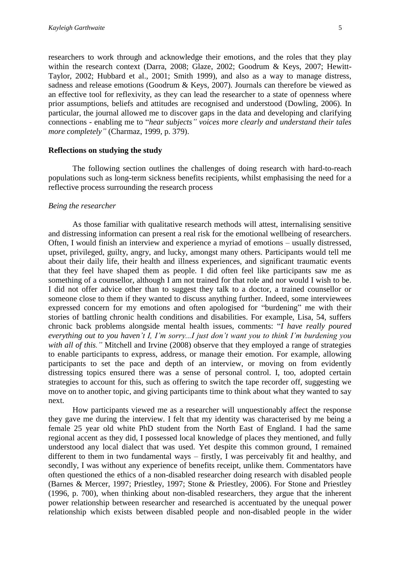researchers to work through and acknowledge their emotions, and the roles that they play within the research context (Darra, 2008; Glaze, 2002; Goodrum & Keys, 2007; Hewitt-Taylor, 2002; Hubbard et al., 2001; Smith 1999), and also as a way to manage distress, sadness and release emotions (Goodrum & Keys, 2007). Journals can therefore be viewed as an effective tool for reflexivity, as they can lead the researcher to a state of openness where prior assumptions, beliefs and attitudes are recognised and understood (Dowling, 2006). In particular, the journal allowed me to discover gaps in the data and developing and clarifying connections - enabling me to "*hear subjects" voices more clearly and understand their tales more completely"* (Charmaz, 1999, p. 379).

#### **Reflections on studying the study**

The following section outlines the challenges of doing research with hard-to-reach populations such as long-term sickness benefits recipients, whilst emphasising the need for a reflective process surrounding the research process

#### *Being the researcher*

As those familiar with qualitative research methods will attest, internalising sensitive and distressing information can present a real risk for the emotional wellbeing of researchers. Often, I would finish an interview and experience a myriad of emotions – usually distressed, upset, privileged, guilty, angry, and lucky, amongst many others. Participants would tell me about their daily life, their health and illness experiences, and significant traumatic events that they feel have shaped them as people. I did often feel like participants saw me as something of a counsellor, although I am not trained for that role and nor would I wish to be. I did not offer advice other than to suggest they talk to a doctor, a trained counsellor or someone close to them if they wanted to discuss anything further. Indeed, some interviewees expressed concern for my emotions and often apologised for "burdening" me with their stories of battling chronic health conditions and disabilities. For example, Lisa, 54, suffers chronic back problems alongside mental health issues, comments: "*I have really poured everything out to you haven't I, I'm sorry...I just don't want you to think I'm burdening you with all of this."* Mitchell and Irvine (2008) observe that they employed a range of strategies to enable participants to express, address, or manage their emotion. For example, allowing participants to set the pace and depth of an interview, or moving on from evidently distressing topics ensured there was a sense of personal control. I, too, adopted certain strategies to account for this, such as offering to switch the tape recorder off, suggesting we move on to another topic, and giving participants time to think about what they wanted to say next.

How participants viewed me as a researcher will unquestionably affect the response they gave me during the interview. I felt that my identity was characterised by me being a female 25 year old white PhD student from the North East of England. I had the same regional accent as they did, I possessed local knowledge of places they mentioned, and fully understood any local dialect that was used. Yet despite this common ground, I remained different to them in two fundamental ways – firstly, I was perceivably fit and healthy, and secondly, I was without any experience of benefits receipt, unlike them. Commentators have often questioned the ethics of a non-disabled researcher doing research with disabled people (Barnes & Mercer, 1997; Priestley, 1997; Stone & Priestley, 2006). For Stone and Priestley (1996, p. 700), when thinking about non-disabled researchers, they argue that the inherent power relationship between researcher and researched is accentuated by the unequal power relationship which exists between disabled people and non-disabled people in the wider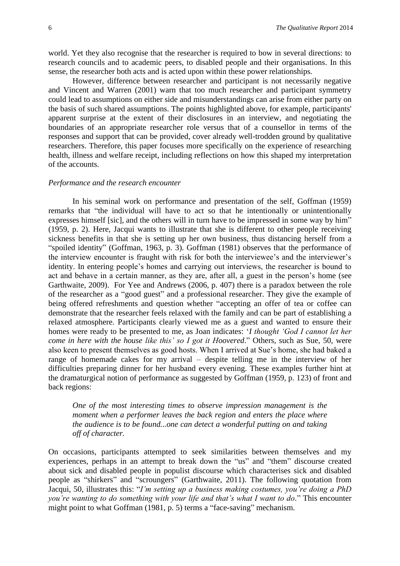world. Yet they also recognise that the researcher is required to bow in several directions: to research councils and to academic peers, to disabled people and their organisations. In this sense, the researcher both acts and is acted upon within these power relationships.

However, difference between researcher and participant is not necessarily negative and Vincent and Warren (2001) warn that too much researcher and participant symmetry could lead to assumptions on either side and misunderstandings can arise from either party on the basis of such shared assumptions. The points highlighted above, for example, participants' apparent surprise at the extent of their disclosures in an interview, and negotiating the boundaries of an appropriate researcher role versus that of a counsellor in terms of the responses and support that can be provided, cover already well-trodden ground by qualitative researchers. Therefore, this paper focuses more specifically on the experience of researching health, illness and welfare receipt, including reflections on how this shaped my interpretation of the accounts.

#### *Performance and the research encounter*

In his seminal work on performance and presentation of the self, Goffman (1959) remarks that "the individual will have to act so that he intentionally or unintentionally expresses himself [sic], and the others will in turn have to be impressed in some way by him" (1959, p. 2). Here, Jacqui wants to illustrate that she is different to other people receiving sickness benefits in that she is setting up her own business, thus distancing herself from a "spoiled identity" (Goffman, 1963, p. 3). Goffman (1981) observes that the performance of the interview encounter is fraught with risk for both the interviewee's and the interviewer's identity. In entering people's homes and carrying out interviews, the researcher is bound to act and behave in a certain manner, as they are, after all, a guest in the person's home (see Garthwaite, 2009). For Yee and Andrews (2006, p. 407) there is a paradox between the role of the researcher as a "good guest" and a professional researcher. They give the example of being offered refreshments and question whether "accepting an offer of tea or coffee can demonstrate that the researcher feels relaxed with the family and can be part of establishing a relaxed atmosphere. Participants clearly viewed me as a guest and wanted to ensure their homes were ready to be presented to me, as Joan indicates: '*I thought 'God I cannot let her come in here with the house like this' so I got it Hoovered*." Others, such as Sue, 50, were also keen to present themselves as good hosts. When I arrived at Sue's home, she had baked a range of homemade cakes for my arrival – despite telling me in the interview of her difficulties preparing dinner for her husband every evening. These examples further hint at the dramaturgical notion of performance as suggested by Goffman (1959, p. 123) of front and back regions:

*One of the most interesting times to observe impression management is the moment when a performer leaves the back region and enters the place where the audience is to be found...one can detect a wonderful putting on and taking off of character.* 

On occasions, participants attempted to seek similarities between themselves and my experiences, perhaps in an attempt to break down the "us" and "them" discourse created about sick and disabled people in populist discourse which characterises sick and disabled people as "shirkers" and "scroungers" (Garthwaite, 2011). The following quotation from Jacqui, 50, illustrates this: "*I'm setting up a business making costumes, you're doing a PhD you're wanting to do something with your life and that's what I want to do.*" This encounter might point to what Goffman (1981, p. 5) terms a "face-saving" mechanism.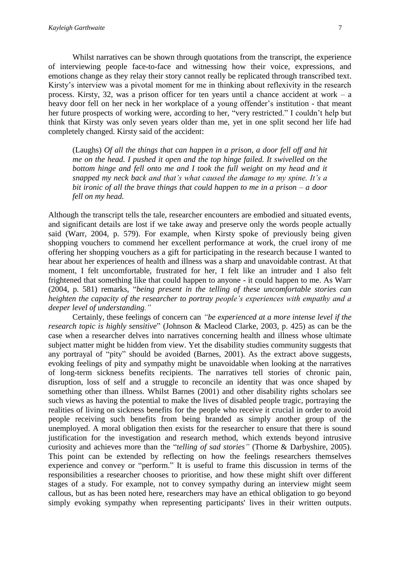Whilst narratives can be shown through quotations from the transcript, the experience of interviewing people face-to-face and witnessing how their voice, expressions, and emotions change as they relay their story cannot really be replicated through transcribed text. Kirsty's interview was a pivotal moment for me in thinking about reflexivity in the research process. Kirsty, 32, was a prison officer for ten years until a chance accident at work – a heavy door fell on her neck in her workplace of a young offender's institution - that meant her future prospects of working were, according to her, "very restricted." I couldn't help but think that Kirsty was only seven years older than me, yet in one split second her life had completely changed. Kirsty said of the accident:

(Laughs) *Of all the things that can happen in a prison, a door fell off and hit me on the head. I pushed it open and the top hinge failed. It swivelled on the bottom hinge and fell onto me and I took the full weight on my head and it snapped my neck back and that's what caused the damage to my spine. It's a bit ironic of all the brave things that could happen to me in a prison – a door fell on my head.*

Although the transcript tells the tale, researcher encounters are embodied and situated events, and significant details are lost if we take away and preserve only the words people actually said (Warr, 2004, p. 579). For example, when Kirsty spoke of previously being given shopping vouchers to commend her excellent performance at work, the cruel irony of me offering her shopping vouchers as a gift for participating in the research because I wanted to hear about her experiences of health and illness was a sharp and unavoidable contrast. At that moment, I felt uncomfortable, frustrated for her, I felt like an intruder and I also felt frightened that something like that could happen to anyone - it could happen to me. As Warr (2004, p. 581) remarks, "*being present in the telling of these uncomfortable stories can heighten the capacity of the researcher to portray people's experiences with empathy and a deeper level of understanding."*

Certainly, these feelings of concern can *"be experienced at a more intense level if the research topic is highly sensitive*" (Johnson & Macleod Clarke, 2003, p. 425) as can be the case when a researcher delves into narratives concerning health and illness whose ultimate subject matter might be hidden from view. Yet the disability studies community suggests that any portrayal of "pity" should be avoided (Barnes, 2001). As the extract above suggests, evoking feelings of pity and sympathy might be unavoidable when looking at the narratives of long-term sickness benefits recipients. The narratives tell stories of chronic pain, disruption, loss of self and a struggle to reconcile an identity that was once shaped by something other than illness. Whilst Barnes (2001) and other disability rights scholars see such views as having the potential to make the lives of disabled people tragic, portraying the realities of living on sickness benefits for the people who receive it crucial in order to avoid people receiving such benefits from being branded as simply another group of the unemployed. A moral obligation then exists for the researcher to ensure that there is sound justification for the investigation and research method, which extends beyond intrusive curiosity and achieves more than the "*telling of sad stories"* (Thorne & Darbyshire, 2005). This point can be extended by reflecting on how the feelings researchers themselves experience and convey or "perform." It is useful to frame this discussion in terms of the responsibilities a researcher chooses to prioritise, and how these might shift over different stages of a study. For example, not to convey sympathy during an interview might seem callous, but as has been noted here, researchers may have an ethical obligation to go beyond simply evoking sympathy when representing participants' lives in their written outputs.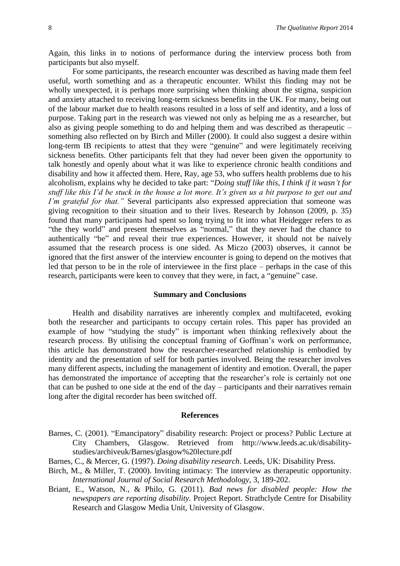Again, this links in to notions of performance during the interview process both from participants but also myself.

For some participants, the research encounter was described as having made them feel useful, worth something and as a therapeutic encounter. Whilst this finding may not be wholly unexpected, it is perhaps more surprising when thinking about the stigma, suspicion and anxiety attached to receiving long-term sickness benefits in the UK. For many, being out of the labour market due to health reasons resulted in a loss of self and identity, and a loss of purpose. Taking part in the research was viewed not only as helping me as a researcher, but also as giving people something to do and helping them and was described as therapeutic – something also reflected on by Birch and Miller (2000). It could also suggest a desire within long-term IB recipients to attest that they were "genuine" and were legitimately receiving sickness benefits. Other participants felt that they had never been given the opportunity to talk honestly and openly about what it was like to experience chronic health conditions and disability and how it affected them. Here, Ray, age 53, who suffers health problems due to his alcoholism, explains why he decided to take part: "*Doing stuff like this, I think if it wasn't for stuff like this I'd be stuck in the house a lot more. It's given us a bit purpose to get out and I'm grateful for that.*" Several participants also expressed appreciation that someone was giving recognition to their situation and to their lives. Research by Johnson (2009, p. 35) found that many participants had spent so long trying to fit into what Heidegger refers to as "the they world" and present themselves as "normal," that they never had the chance to authentically "be" and reveal their true experiences. However, it should not be naively assumed that the research process is one sided. As Miczo (2003) observes, it cannot be ignored that the first answer of the interview encounter is going to depend on the motives that led that person to be in the role of interviewee in the first place – perhaps in the case of this research, participants were keen to convey that they were, in fact, a "genuine" case.

#### **Summary and Conclusions**

Health and disability narratives are inherently complex and multifaceted, evoking both the researcher and participants to occupy certain roles. This paper has provided an example of how "studying the study" is important when thinking reflexively about the research process. By utilising the conceptual framing of Goffman's work on performance, this article has demonstrated how the researcher-researched relationship is embodied by identity and the presentation of self for both parties involved. Being the researcher involves many different aspects, including the management of identity and emotion. Overall, the paper has demonstrated the importance of accepting that the researcher's role is certainly not one that can be pushed to one side at the end of the day – participants and their narratives remain long after the digital recorder has been switched off.

#### **References**

- Barnes, C. (2001). "Emancipatory" disability research: Project or process? Public Lecture at City Chambers, Glasgow. Retrieved from http://www.leeds.ac.uk/disabilitystudies/archiveuk/Barnes/glasgow%20lecture.pdf
- Barnes, C., & Mercer, G. (1997). *Doing disability research*. Leeds, UK: Disability Press.
- Birch, M., & Miller, T. (2000). Inviting intimacy: The interview as therapeutic opportunity. *International Journal of Social Research Methodology*, 3, 189-202.
- Briant, E., Watson, N., & Philo, G. (2011). *Bad news for disabled people: How the newspapers are reporting disability.* Project Report. Strathclyde Centre for Disability Research and Glasgow Media Unit, University of Glasgow.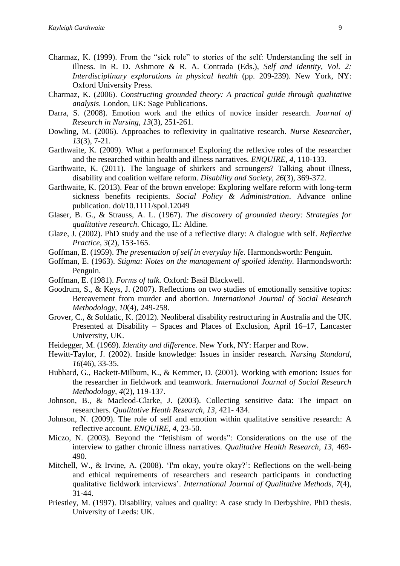- Charmaz, K. (1999). From the "sick role" to stories of the self: Understanding the self in illness. In R. D. Ashmore & R. A. Contrada (Eds.), *Self and identity, Vol. 2: Interdisciplinary explorations in physical health* (pp. 209-239). New York, NY: Oxford University Press.
- Charmaz, K. (2006). *Constructing grounded theory: A practical guide through qualitative analysis.* London, UK: Sage Publications.
- Darra, S. (2008). Emotion work and the ethics of novice insider research. *Journal of Research in Nursing*, *13*(3), 251-261.
- Dowling, M. (2006). Approaches to reflexivity in qualitative research. *Nurse Researcher*, *13*(3), 7-21.
- Garthwaite, K. (2009). What a performance! Exploring the reflexive roles of the researcher and the researched within health and illness narratives. *ENQUIRE, 4,* 110-133.
- Garthwaite, K. (2011). The language of shirkers and scroungers? Talking about illness, disability and coalition welfare reform. *Disability and Society, 26*(3), 369-372.
- Garthwaite, K. (2013). Fear of the brown envelope: Exploring welfare reform with long-term sickness benefits recipients. *Social Policy & Administration*. Advance online publication. doi/10.1111/spol.12049
- Glaser, B. G., & Strauss, A. L. (1967). *The discovery of grounded theory: Strategies for qualitative research*. Chicago, IL: Aldine.
- Glaze, J. (2002). PhD study and the use of a reflective diary: A dialogue with self. *Reflective Practice, 3*(2), 153-165.
- Goffman, E. (1959). *The presentation of self in everyday life*. Harmondsworth: Penguin.
- Goffman, E. (1963). *Stigma: Notes on the management of spoiled identity.* Harmondsworth: Penguin.
- Goffman, E. (1981). *Forms of talk.* Oxford: Basil Blackwell.
- Goodrum, S., & Keys, J. (2007). Reflections on two studies of emotionally sensitive topics: Bereavement from murder and abortion. *International Journal of Social Research Methodology, 10*(4), 249-258.
- Grover, C., & Soldatic, K. (2012). Neoliberal disability restructuring in Australia and the UK. Presented at Disability – Spaces and Places of Exclusion, April 16–17, Lancaster University, UK.
- Heidegger, M. (1969). *Identity and difference*. New York, NY: Harper and Row.
- Hewitt-Taylor, J. (2002). Inside knowledge: Issues in insider research. *Nursing Standard, 16*(46), 33-35.
- Hubbard, G., Backett-Milburn, K., & Kemmer, D. (2001). Working with emotion: Issues for the researcher in fieldwork and teamwork. *International Journal of Social Research Methodology, 4*(2), 119-137.
- Johnson, B., & Macleod-Clarke, J. (2003). Collecting sensitive data: The impact on researchers. *Qualitative Heath Research*, *13,* 421- 434.
- Johnson, N. (2009). The role of self and emotion within qualitative sensitive research: A reflective account. *ENQUIRE, 4*, 23-50.
- Miczo, N. (2003). Beyond the "fetishism of words": Considerations on the use of the interview to gather chronic illness narratives. *Qualitative Health Research, 13,* 469- 490.
- Mitchell, W., & Irvine, A. (2008). 'I'm okay, you're okay?': Reflections on the well-being and ethical requirements of researchers and research participants in conducting qualitative fieldwork interviews'. *International Journal of Qualitative Methods*, *7*(4), 31-44.
- Priestley, M. (1997). Disability, values and quality: A case study in Derbyshire. PhD thesis. University of Leeds: UK.